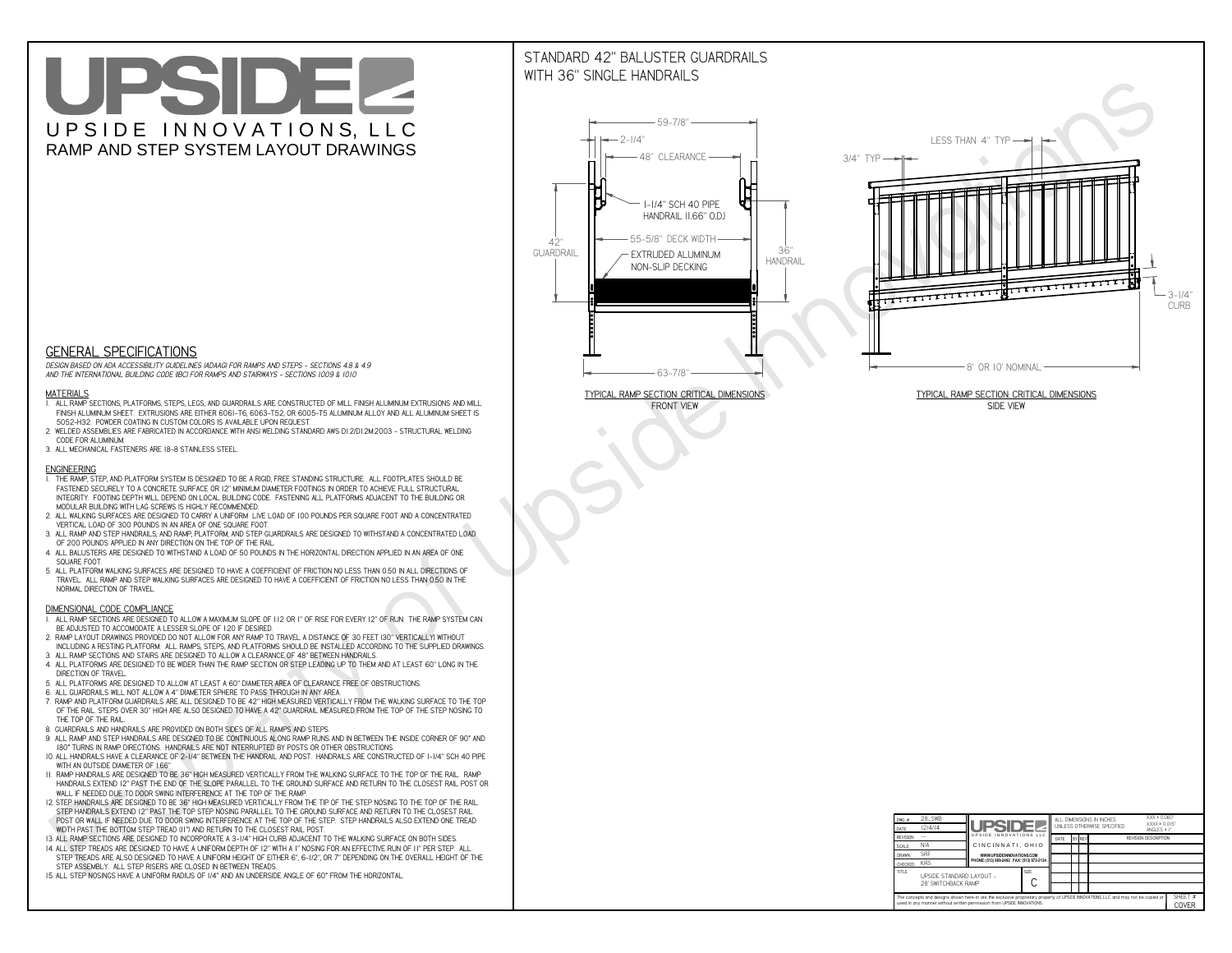# UPSIDEL UPSIDE INNOVATIONS, LLC RAMP AND STEP SYSTEM LAYOUT DRAWINGS

## STANDARD 42" BALUSTER GUARDRAILSWITH 36" SINGLE HANDRAILS

**FRONT VIEW**





**GENERAL SPECIFICATIONS**

 *DESIGN BASED ON ADA ACCESSIBILITY GUIDELINES (ADAAG) FOR RAMPS AND STEPS - SECTIONS 4.8 & 4.9AND THE INTERNATIONAL BUILDING CODE (IBC) FOR RAMPS AND STAIRWAYS - SECTIONS 1009 & 1010*

#### **MATERIALS**

- **1. ALL RAMP SECTIONS, PLATFORMS, STEPS, LEGS, AND GUARDRAILS ARE CONSTRUCTED OF MILL FINISH ALUMINUM EXTRUSIONS AND MILL FINISH ALUMINUM SHEET. EXTRUSIONS ARE EITHER 6061-T6, 6063-T52, OR 6005-T5 ALUMINUM ALLOY AND ALL ALUMINUM SHEET IS 5052-H32. POWDER COATING IN CUSTOM COLORS IS AVAILABLE UPON REQUEST.**
- **2. WELDED ASSEMBLIES ARE FABRICATED IN ACCORDANCE WITH ANSI WELDING STANDARD AWS D1.2/D1.2M:2003 STRUCTURAL WELDING CODE FOR ALUMINUM.**
- **3. ALL MECHANICAL FASTENERS ARE 18-8 STAINLESS STEEL.**

#### **ENGINEERING**

- **1. THE RAMP, STEP, AND PLATFORM SYSTEM IS DESIGNED TO BE A RIGID, FREE STANDING STRUCTURE. ALL FOOTPLATES SHOULD BE FASTENED SECURELY TO A CONCRETE SURFACE OR 12" MINIMUM DIAMETER FOOTINGS IN ORDER TO ACHIEVE FULL STRUCTURAL INTEGRITY. FOOTING DEPTH WILL DEPEND ON LOCAL BUILDING CODE. FASTENING ALL PLATFORMS ADJACENT TO THE BUILDING OR MODULAR BUILDING WITH LAG SCREWS IS HIGHLY RECOMMENDED.**
- **2. ALL WALKING SURFACES ARE DESIGNED TO CARRY A UNIFORM LIVE LOAD OF 100 POUNDS PER SQUARE FOOT AND A CONCENTRATED VERTICAL LOAD OF 300 POUNDS IN AN AREA OF ONE SQUARE FOOT.**
- **3. ALL RAMP AND STEP HANDRAILS, AND RAMP, PLATFORM, AND STEP GUARDRAILS ARE DESIGNED TO WITHSTAND A CONCENTRATED LOAD OF 200 POUNDS APPLIED IN ANY DIRECTION ON THE TOP OF THE RAIL.**
- **4. ALL BALUSTERS ARE DESIGNED TO WITHSTAND A LOAD OF 50 POUNDS IN THE HORIZONTAL DIRECTION APPLIED IN AN AREA OF ONE SQUARE FOOT.**
- **5. ALL PLATFORM WALKING SURFACES ARE DESIGNED TO HAVE A COEFFICIENT OF FRICTION NO LESS THAN 0.50 IN ALL DIRECTIONS OF TRAVEL. ALL RAMP AND STEP WALKING SURFACES ARE DESIGNED TO HAVE A COEFFICIENT OF FRICTION NO LESS THAN 0.50 IN THE NORMAL DIRECTION OF TRAVEL.**

| $DWG.$ #<br>DATE                                                                                                                                                                                            | 28_SWB<br> 2/4/14                               | <b>UPSIDE2</b>                            |  | ALL DIMENSIONS IN INCHES<br>UNI FSS OTHERWISE SPECIFIED |        |  |  | $XXX = 0.060"$<br>$XXX \pm 0.015$ "<br>ANGLES $\pm$ 1° |                  |
|-------------------------------------------------------------------------------------------------------------------------------------------------------------------------------------------------------------|-------------------------------------------------|-------------------------------------------|--|---------------------------------------------------------|--------|--|--|--------------------------------------------------------|------------------|
| <b>REVISION</b>                                                                                                                                                                                             |                                                 | UPSIDE INNOVATIONS LLC                    |  | DATE                                                    | BY REV |  |  | <b>REVISION DESCRIPTION</b>                            |                  |
| <b>SCALE</b>                                                                                                                                                                                                | N/A                                             | CINCINNATI, OHIO                          |  |                                                         |        |  |  |                                                        |                  |
| <b>DRAWN</b>                                                                                                                                                                                                | <b>SRF</b>                                      | WWW.UPSIDEINNOVATIONS.COM                 |  |                                                         |        |  |  |                                                        |                  |
| CHECKED                                                                                                                                                                                                     | <b>KRS</b>                                      | PHONE: (513) 889-2492 FAX: (513) 672-2124 |  |                                                         |        |  |  |                                                        |                  |
| <b>TITLE</b>                                                                                                                                                                                                | UPSIDE STANDARD LAYOUT -<br>28' SWITCHBACK RAMP |                                           |  |                                                         |        |  |  |                                                        |                  |
| The concepts and designs shown here-in are the exclusive proprietary property of UPSIDE INNOVATIONS LLC. and may not be copied or<br>used in any manner without written permission from UPSIDE INNOVATIONS. |                                                 |                                           |  |                                                         |        |  |  |                                                        | SHEET #<br>COVER |

### **DIMENSIONAL CODE COMPLIANCE**

- **1. ALL RAMP SECTIONS ARE DESIGNED TO ALLOW A MAXIMUM SLOPE OF 1:12 OR 1" OF RISE FOR EVERY 12" OF RUN. THE RAMP SYSTEM CAN BE ADJUSTED TO ACCOMODATE A LESSER SLOPE OF 1:20 IF DESIRED.**
- **2. RAMP LAYOUT DRAWINGS PROVIDED DO NOT ALLOW FOR ANY RAMP TO TRAVEL A DISTANCE OF 30 FEET (30" VERTICALLY) WITHOUT INCLUDING A RESTING PLATFORM. ALL RAMPS, STEPS, AND PLATFORMS SHOULD BE INSTALLED ACCORDING TO THE SUPPLIED DRAWINGS.**
- **3. ALL RAMP SECTIONS AND STAIRS ARE DESIGNED TO ALLOW A CLEARANCE OF 48" BETWEEN HANDRAILS.**
- **4. ALL PLATFORMS ARE DESIGNED TO BE WIDER THAN THE RAMP SECTION OR STEP LEADING UP TO THEM AND AT LEAST 60" LONG IN THE DIRECTION OF TRAVEL.**
- **5. ALL PLATFORMS ARE DESIGNED TO ALLOW AT LEAST A 60" DIAMETER AREA OF CLEARANCE FREE OF OBSTRUCTIONS.**
- **6. ALL GUARDRAILS WILL NOT ALLOW A 4" DIAMETER SPHERE TO PASS THROUGH IN ANY AREA.**
- **7. RAMP AND PLATFORM GUARDRAILS ARE ALL DESIGNED TO BE 42" HIGH MEASURED VERTICALLY FROM THE WALKING SURFACE TO THE TOP OF THE RAIL. STEPS OVER 30" HIGH ARE ALSO DESIGNED TO HAVE A 42" GUARDRAIL MEASURED FROM THE TOP OF THE STEP NOSING TO THE TOP OF THE RAIL.**
- **8. GUARDRAILS AND HANDRAILS ARE PROVIDED ON BOTH SIDES OF ALL RAMPS AND STEPS.**
- **9. ALL RAMP AND STEP HANDRAILS ARE DESIGNED TO BE CONTINUOUS ALONG RAMP RUNS AND IN BETWEEN THE INSIDE CORNER OF 90° AND 180° TURNS IN RAMP DIRECTIONS. HANDRAILS ARE NOT INTERRUPTED BY POSTS OR OTHER OBSTRUCTIONS.**
- **10. ALL HANDRAILS HAVE A CLEARANCE OF 2-1/4" BETWEEN THE HANDRAIL AND POST. HANDRAILS ARE CONSTRUCTED OF 1-1/4" SCH 40 PIPE WITH AN OUTSIDE DIAMETER OF 1.66"**
- **11. RAMP HANDRAILS ARE DESIGNED TO BE 36" HIGH MEASURED VERTICALLY FROM THE WALKING SURFACE TO THE TOP OF THE RAIL. RAMP HANDRAILS EXTEND 12" PAST THE END OF THE SLOPE PARALLEL TO THE GROUND SURFACE AND RETURN TO THE CLOSEST RAIL POST OR WALL IF NEEDED DUE TO DOOR SWING INTERFERENCE AT THE TOP OF THE RAMP.**
- **12. STEP HANDRAILS ARE DESIGNED TO BE 36" HIGH MEASURED VERTICALLY FROM THE TIP OF THE STEP NOSING TO THE TOP OF THE RAIL. STEP HANDRAILS EXTEND 12" PAST THE TOP STEP NOSING PARALLEL TO THE GROUND SURFACE AND RETURN TO THE CLOSEST RAIL POST OR WALL IF NEEDED DUE TO DOOR SWING INTERFERENCE AT THE TOP OF THE STEP. STEP HANDRAILS ALSO EXTEND ONE TREAD**
- **WIDTH PAST THE BOTTOM STEP TREAD (11") AND RETURN TO THE CLOSEST RAIL POST.**
- **13. ALL RAMP SECTIONS ARE DESIGNED TO INCORPORATE A 3-1/4" HIGH CURB ADJACENT TO THE WALKING SURFACE ON BOTH SIDES.**
- **14. ALL STEP TREADS ARE DESIGNED TO HAVE A UNIFORM DEPTH OF 12" WITH A 1" NOSING FOR AN EFFECTIVE RUN OF 11" PER STEP. ALL STEP TREADS ARE ALSO DESIGNED TO HAVE A UNIFORM HEIGHT OF EITHER 6", 6-1/2", OR 7" DEPENDING ON THE OVERALL HEIGHT OF THE STEP ASSEMBLY. ALL STEP RISERS ARE CLOSED IN BETWEEN TREADS.**
- **15. ALL STEP NOSINGS HAVE A UNIFORM RADIUS OF 1/4" AND AN UNDERSIDE ANGLE OF 60° FROM THE HORIZONTAL.**